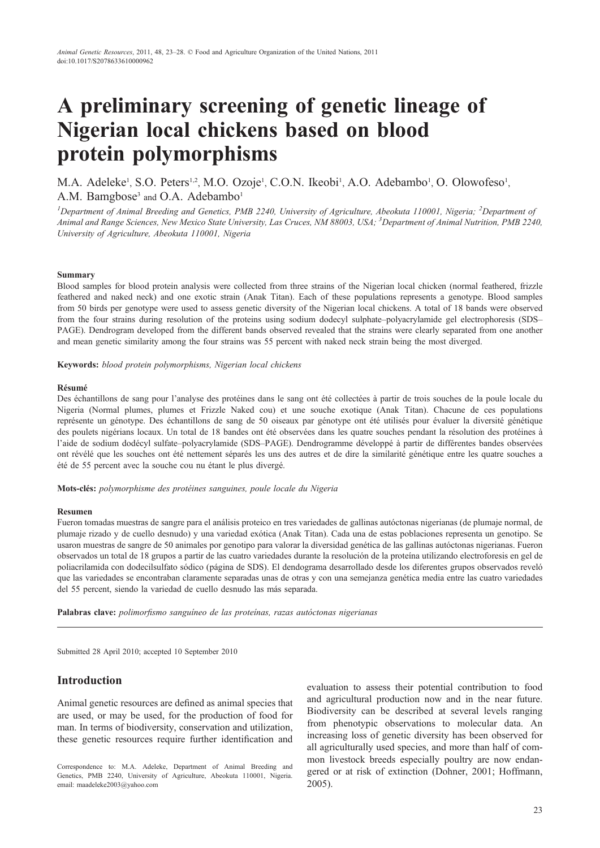# A preliminary screening of genetic lineage of Nigerian local chickens based on blood protein polymorphisms

M.A. Adeleke<sup>1</sup>, S.O. Peters<sup>1,2</sup>, M.O. Ozoje<sup>1</sup>, C.O.N. Ikeobi<sup>1</sup>, A.O. Adebambo<sup>1</sup>, O. Olowofeso<sup>1</sup>, A.M. Bamgbose<sup>3</sup> and O.A. Adebambo<sup>1</sup>

<sup>1</sup>Department of Animal Breeding and Genetics, PMB 2240, University of Agriculture, Abeokuta 110001, Nigeria; <sup>2</sup>Department of Animal and Range Sciences, New Mexico State University, Las Cruces, NM 88003, USA; <sup>3</sup>Department of Animal Nutrition, PMB 2240, University of Agriculture, Abeokuta 110001, Nigeria

#### Summary

Blood samples for blood protein analysis were collected from three strains of the Nigerian local chicken (normal feathered, frizzle feathered and naked neck) and one exotic strain (Anak Titan). Each of these populations represents a genotype. Blood samples from 50 birds per genotype were used to assess genetic diversity of the Nigerian local chickens. A total of 18 bands were observed from the four strains during resolution of the proteins using sodium dodecyl sulphate–polyacrylamide gel electrophoresis (SDS– PAGE). Dendrogram developed from the different bands observed revealed that the strains were clearly separated from one another and mean genetic similarity among the four strains was 55 percent with naked neck strain being the most diverged.

Keywords: blood protein polymorphisms, Nigerian local chickens

#### Résumé

Des échantillons de sang pour l'analyse des protéines dans le sang ont été collectées à partir de trois souches de la poule locale du Nigeria (Normal plumes, plumes et Frizzle Naked cou) et une souche exotique (Anak Titan). Chacune de ces populations représente un génotype. Des échantillons de sang de 50 oiseaux par génotype ont été utilisés pour évaluer la diversité génétique des poulets nigérians locaux. Un total de 18 bandes ont été observées dans les quatre souches pendant la résolution des protéines à l'aide de sodium dodécyl sulfate–polyacrylamide (SDS–PAGE). Dendrogramme développé à partir de différentes bandes observées ont révélé que les souches ont été nettement séparés les uns des autres et de dire la similarité génétique entre les quatre souches a été de 55 percent avec la souche cou nu étant le plus divergé.

Mots-clés: polymorphisme des protéines sanguines, poule locale du Nigeria

#### Resumen

Fueron tomadas muestras de sangre para el análisis proteico en tres variedades de gallinas autóctonas nigerianas (de plumaje normal, de plumaje rizado y de cuello desnudo) y una variedad exótica (Anak Titan). Cada una de estas poblaciones representa un genotipo. Se usaron muestras de sangre de 50 animales por genotipo para valorar la diversidad genética de las gallinas autóctonas nigerianas. Fueron observados un total de 18 grupos a partir de las cuatro variedades durante la resolución de la proteína utilizando electroforesis en gel de poliacrilamida con dodecilsulfato sódico (página de SDS). El dendograma desarrollado desde los diferentes grupos observados reveló que las variedades se encontraban claramente separadas unas de otras y con una semejanza genética media entre las cuatro variedades del 55 percent, siendo la variedad de cuello desnudo las más separada.

Palabras clave: polimorfismo sanguíneo de las proteínas, razas autóctonas nigerianas

Submitted 28 April 2010; accepted 10 September 2010

# Introduction

Animal genetic resources are defined as animal species that are used, or may be used, for the production of food for man. In terms of biodiversity, conservation and utilization, these genetic resources require further identification and

Correspondence to: M.A. Adeleke, Department of Animal Breeding and Genetics, PMB 2240, University of Agriculture, Abeokuta 110001, Nigeria. email: maadeleke2003@yahoo.com

evaluation to assess their potential contribution to food and agricultural production now and in the near future. Biodiversity can be described at several levels ranging from phenotypic observations to molecular data. An increasing loss of genetic diversity has been observed for all agriculturally used species, and more than half of common livestock breeds especially poultry are now endangered or at risk of extinction (Dohner, 2001; Hoffmann, 2005).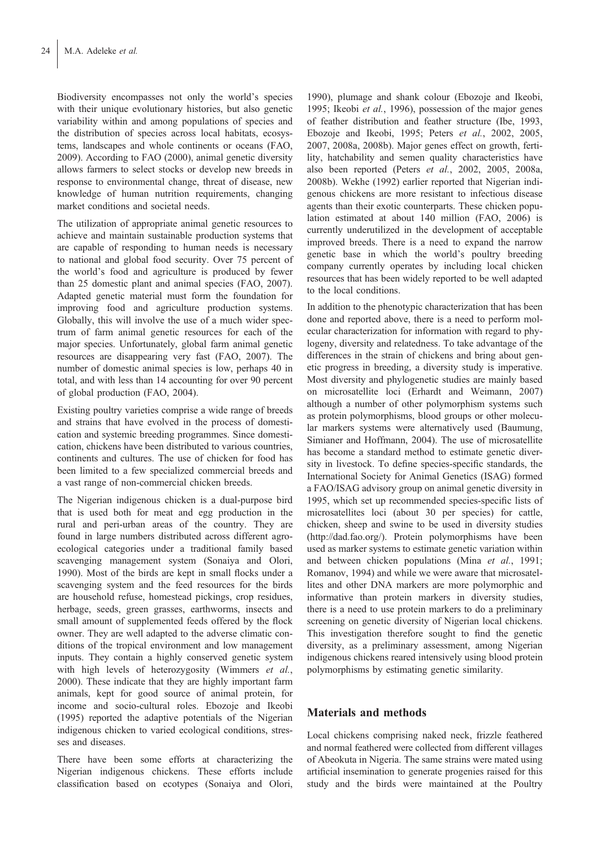Biodiversity encompasses not only the world's species with their unique evolutionary histories, but also genetic variability within and among populations of species and the distribution of species across local habitats, ecosystems, landscapes and whole continents or oceans (FAO, 2009). According to FAO (2000), animal genetic diversity allows farmers to select stocks or develop new breeds in response to environmental change, threat of disease, new knowledge of human nutrition requirements, changing market conditions and societal needs.

The utilization of appropriate animal genetic resources to achieve and maintain sustainable production systems that are capable of responding to human needs is necessary to national and global food security. Over 75 percent of the world's food and agriculture is produced by fewer than 25 domestic plant and animal species (FAO, 2007). Adapted genetic material must form the foundation for improving food and agriculture production systems. Globally, this will involve the use of a much wider spectrum of farm animal genetic resources for each of the major species. Unfortunately, global farm animal genetic resources are disappearing very fast (FAO, 2007). The number of domestic animal species is low, perhaps 40 in total, and with less than 14 accounting for over 90 percent of global production (FAO, 2004).

Existing poultry varieties comprise a wide range of breeds and strains that have evolved in the process of domestication and systemic breeding programmes. Since domestication, chickens have been distributed to various countries, continents and cultures. The use of chicken for food has been limited to a few specialized commercial breeds and a vast range of non-commercial chicken breeds.

The Nigerian indigenous chicken is a dual-purpose bird that is used both for meat and egg production in the rural and peri-urban areas of the country. They are found in large numbers distributed across different agroecological categories under a traditional family based scavenging management system (Sonaiya and Olori, 1990). Most of the birds are kept in small flocks under a scavenging system and the feed resources for the birds are household refuse, homestead pickings, crop residues, herbage, seeds, green grasses, earthworms, insects and small amount of supplemented feeds offered by the flock owner. They are well adapted to the adverse climatic conditions of the tropical environment and low management inputs. They contain a highly conserved genetic system with high levels of heterozygosity (Wimmers et al., 2000). These indicate that they are highly important farm animals, kept for good source of animal protein, for income and socio-cultural roles. Ebozoje and Ikeobi (1995) reported the adaptive potentials of the Nigerian indigenous chicken to varied ecological conditions, stresses and diseases.

There have been some efforts at characterizing the Nigerian indigenous chickens. These efforts include classification based on ecotypes (Sonaiya and Olori,

1990), plumage and shank colour (Ebozoje and Ikeobi, 1995; Ikeobi et al., 1996), possession of the major genes of feather distribution and feather structure (Ibe, 1993, Ebozoje and Ikeobi, 1995; Peters et al., 2002, 2005, 2007, 2008a, 2008b). Major genes effect on growth, fertility, hatchability and semen quality characteristics have also been reported (Peters et al., 2002, 2005, 2008a, 2008b). Wekhe (1992) earlier reported that Nigerian indigenous chickens are more resistant to infectious disease agents than their exotic counterparts. These chicken population estimated at about 140 million (FAO, 2006) is currently underutilized in the development of acceptable improved breeds. There is a need to expand the narrow genetic base in which the world's poultry breeding company currently operates by including local chicken resources that has been widely reported to be well adapted to the local conditions.

In addition to the phenotypic characterization that has been done and reported above, there is a need to perform molecular characterization for information with regard to phylogeny, diversity and relatedness. To take advantage of the differences in the strain of chickens and bring about genetic progress in breeding, a diversity study is imperative. Most diversity and phylogenetic studies are mainly based on microsatellite loci (Erhardt and Weimann, 2007) although a number of other polymorphism systems such as protein polymorphisms, blood groups or other molecular markers systems were alternatively used (Baumung, Simianer and Hoffmann, 2004). The use of microsatellite has become a standard method to estimate genetic diversity in livestock. To define species-specific standards, the International Society for Animal Genetics (ISAG) formed a FAO/ISAG advisory group on animal genetic diversity in 1995, which set up recommended species-specific lists of microsatellites loci (about 30 per species) for cattle, chicken, sheep and swine to be used in diversity studies (http://dad.fao.org/). Protein polymorphisms have been used as marker systems to estimate genetic variation within and between chicken populations (Mina et al., 1991; Romanov, 1994) and while we were aware that microsatellites and other DNA markers are more polymorphic and informative than protein markers in diversity studies, there is a need to use protein markers to do a preliminary screening on genetic diversity of Nigerian local chickens. This investigation therefore sought to find the genetic diversity, as a preliminary assessment, among Nigerian indigenous chickens reared intensively using blood protein polymorphisms by estimating genetic similarity.

## Materials and methods

Local chickens comprising naked neck, frizzle feathered and normal feathered were collected from different villages of Abeokuta in Nigeria. The same strains were mated using artificial insemination to generate progenies raised for this study and the birds were maintained at the Poultry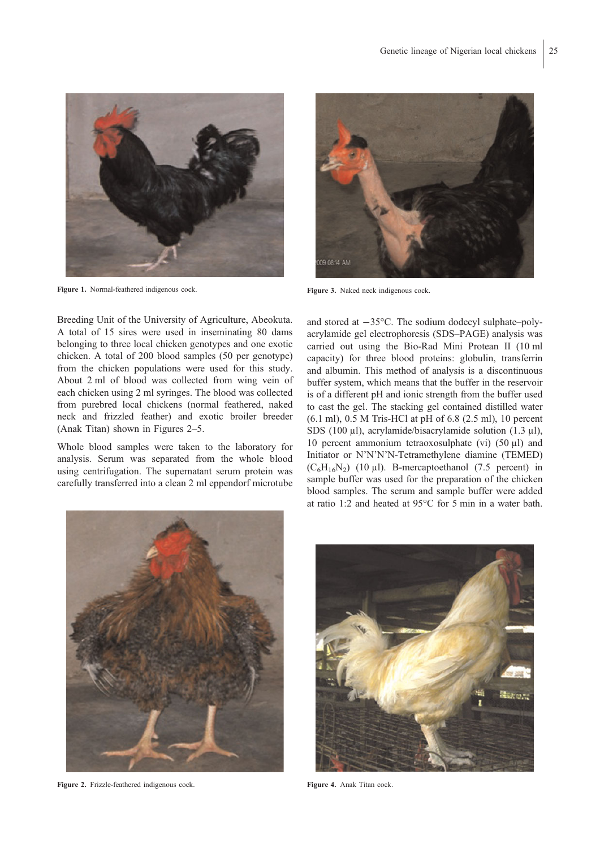

Figure 1. Normal-feathered indigenous cock. Figure 3. Naked neck indigenous cock.



Breeding Unit of the University of Agriculture, Abeokuta. A total of 15 sires were used in inseminating 80 dams belonging to three local chicken genotypes and one exotic chicken. A total of 200 blood samples (50 per genotype) from the chicken populations were used for this study. About 2 ml of blood was collected from wing vein of each chicken using 2 ml syringes. The blood was collected from purebred local chickens (normal feathered, naked neck and frizzled feather) and exotic broiler breeder (Anak Titan) shown in Figures 2–5.

Whole blood samples were taken to the laboratory for analysis. Serum was separated from the whole blood using centrifugation. The supernatant serum protein was carefully transferred into a clean 2 ml eppendorf microtube

and stored at −35°C. The sodium dodecyl sulphate–polyacrylamide gel electrophoresis (SDS–PAGE) analysis was carried out using the Bio-Rad Mini Protean II (10 ml capacity) for three blood proteins: globulin, transferrin and albumin. This method of analysis is a discontinuous buffer system, which means that the buffer in the reservoir is of a different pH and ionic strength from the buffer used to cast the gel. The stacking gel contained distilled water (6.1 ml), 0.5 M Tris-HCl at pH of 6.8 (2.5 ml), 10 percent SDS (100  $\mu$ l), acrylamide/bisacrylamide solution (1.3  $\mu$ l), 10 percent ammonium tetraoxosulphate (vi)  $(50 \mu l)$  and Initiator or N'N'N'N-Tetramethylene diamine (TEMED)  $(C_6H_{16}N_2)$  (10 µl). B-mercaptoethanol (7.5 percent) in sample buffer was used for the preparation of the chicken blood samples. The serum and sample buffer were added at ratio 1:2 and heated at 95°C for 5 min in a water bath.



Figure 2. Frizzle-feathered indigenous cock. Figure 4. Anak Titan cock

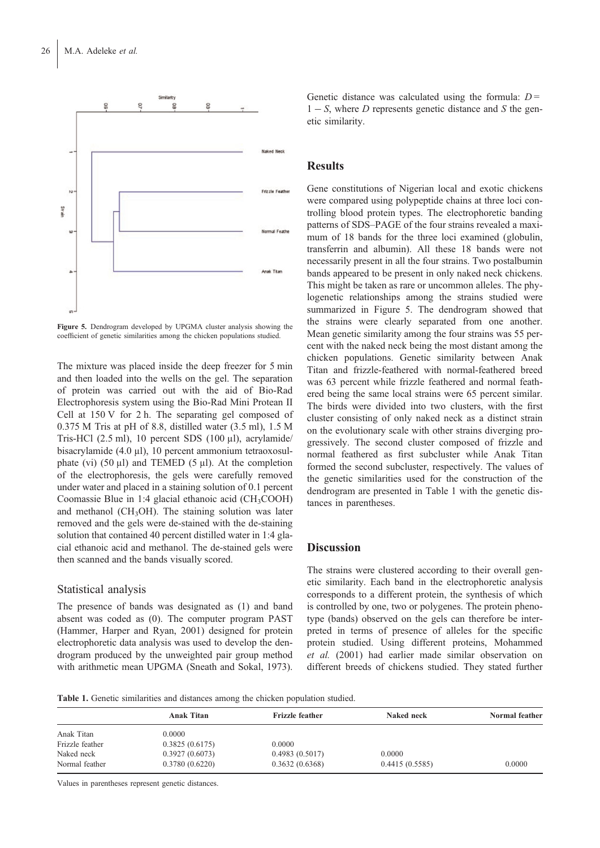

Figure 5. Dendrogram developed by UPGMA cluster analysis showing the coefficient of genetic similarities among the chicken populations studied.

The mixture was placed inside the deep freezer for 5 min and then loaded into the wells on the gel. The separation of protein was carried out with the aid of Bio-Rad Electrophoresis system using the Bio-Rad Mini Protean II Cell at 150 V for 2 h. The separating gel composed of 0.375 M Tris at pH of 8.8, distilled water (3.5 ml), 1.5 M Tris-HCl  $(2.5 \text{ ml})$ , 10 percent SDS  $(100 \mu l)$ , acrylamide/ bisacrylamide (4.0 µl), 10 percent ammonium tetraoxosulphate (vi)  $(50 \text{ µl})$  and TEMED  $(5 \text{ µl})$ . At the completion of the electrophoresis, the gels were carefully removed under water and placed in a staining solution of 0.1 percent Coomassie Blue in 1:4 glacial ethanoic acid  $(CH_3COOH)$ and methanol ( $CH<sub>3</sub>OH$ ). The staining solution was later removed and the gels were de-stained with the de-staining solution that contained 40 percent distilled water in 1:4 glacial ethanoic acid and methanol. The de-stained gels were then scanned and the bands visually scored.

## Statistical analysis

The presence of bands was designated as (1) and band absent was coded as (0). The computer program PAST (Hammer, Harper and Ryan, 2001) designed for protein electrophoretic data analysis was used to develop the dendrogram produced by the unweighted pair group method with arithmetic mean UPGMA (Sneath and Sokal, 1973).

Genetic distance was calculated using the formula:  $D =$  $1 - S$ , where D represents genetic distance and S the genetic similarity.

## **Results**

Gene constitutions of Nigerian local and exotic chickens were compared using polypeptide chains at three loci controlling blood protein types. The electrophoretic banding patterns of SDS–PAGE of the four strains revealed a maximum of 18 bands for the three loci examined (globulin, transferrin and albumin). All these 18 bands were not necessarily present in all the four strains. Two postalbumin bands appeared to be present in only naked neck chickens. This might be taken as rare or uncommon alleles. The phylogenetic relationships among the strains studied were summarized in Figure 5. The dendrogram showed that the strains were clearly separated from one another. Mean genetic similarity among the four strains was 55 percent with the naked neck being the most distant among the chicken populations. Genetic similarity between Anak Titan and frizzle-feathered with normal-feathered breed was 63 percent while frizzle feathered and normal feathered being the same local strains were 65 percent similar. The birds were divided into two clusters, with the first cluster consisting of only naked neck as a distinct strain on the evolutionary scale with other strains diverging progressively. The second cluster composed of frizzle and normal feathered as first subcluster while Anak Titan formed the second subcluster, respectively. The values of the genetic similarities used for the construction of the dendrogram are presented in Table 1 with the genetic distances in parentheses.

#### Discussion

The strains were clustered according to their overall genetic similarity. Each band in the electrophoretic analysis corresponds to a different protein, the synthesis of which is controlled by one, two or polygenes. The protein phenotype (bands) observed on the gels can therefore be interpreted in terms of presence of alleles for the specific protein studied. Using different proteins, Mohammed et al. (2001) had earlier made similar observation on different breeds of chickens studied. They stated further

Table 1. Genetic similarities and distances among the chicken population studied.

|                 |                   | <b>Frizzle feather</b> | Naked neck     | <b>Normal</b> feather |
|-----------------|-------------------|------------------------|----------------|-----------------------|
|                 | <b>Anak Titan</b> |                        |                |                       |
| Anak Titan      | 0.0000            |                        |                |                       |
| Frizzle feather | 0.3825(0.6175)    | 0.0000                 |                |                       |
| Naked neck      | 0.3927(0.6073)    | 0.4983(0.5017)         | 0.0000         |                       |
| Normal feather  | 0.3780(0.6220)    | 0.3632(0.6368)         | 0.4415(0.5585) | 0.0000                |

Values in parentheses represent genetic distances.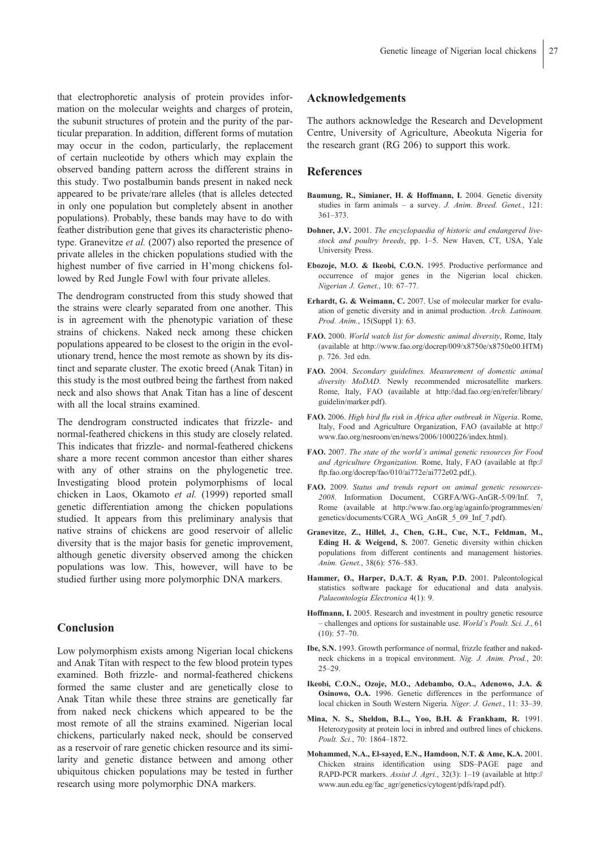that electrophoretic analysis of protein provides information on the molecular weights and charges of protein, the subunit structures of protein and the purity of the particular preparation. In addition, different forms of mutation may occur in the codon, particularly, the replacement of certain nucleotide by others which may explain the observed banding pattern across the different strains in this study. Two postalbumin bands present in naked neck appeared to be private/rare alleles (that is alleles detected in only one population but completely absent in another populations). Probably, these bands may have to do with feather distribution gene that gives its characteristic phenotype. Granevitze et al. (2007) also reported the presence of private alleles in the chicken populations studied with the highest number of five carried in H'mong chickens followed by Red Jungle Fowl with four private alleles.

The dendrogram constructed from this study showed that the strains were clearly separated from one another. This is in agreement with the phenotypic variation of these strains of chickens. Naked neck among these chicken populations appeared to be closest to the origin in the evolutionary trend, hence the most remote as shown by its distinct and separate cluster. The exotic breed (Anak Titan) in this study is the most outbred being the farthest from naked neck and also shows that Anak Titan has a line of descent with all the local strains examined.

The dendrogram constructed indicates that frizzle- and normal-feathered chickens in this study are closely related. This indicates that frizzle- and normal-feathered chickens share a more recent common ancestor than either shares with any of other strains on the phylogenetic tree. Investigating blood protein polymorphisms of local chicken in Laos, Okamoto et al. (1999) reported small genetic differentiation among the chicken populations studied. It appears from this preliminary analysis that native strains of chickens are good reservoir of allelic diversity that is the major basis for genetic improvement, although genetic diversity observed among the chicken populations was low. This, however, will have to be studied further using more polymorphic DNA markers.

## Conclusion

Low polymorphism exists among Nigerian local chickens and Anak Titan with respect to the few blood protein types examined. Both frizzle- and normal-feathered chickens formed the same cluster and are genetically close to Anak Titan while these three strains are genetically far from naked neck chickens which appeared to be the most remote of all the strains examined. Nigerian local chickens, particularly naked neck, should be conserved as a reservoir of rare genetic chicken resource and its similarity and genetic distance between and among other ubiquitous chicken populations may be tested in further research using more polymorphic DNA markers.

#### Acknowledgements

The authors acknowledge the Research and Development Centre, University of Agriculture, Abeokuta Nigeria for the research grant (RG 206) to support this work.

#### References

- Baumung, R., Simianer, H. & Hoffmann, I. 2004. Genetic diversity studies in farm animals – a survey. J. Anim. Breed. Genet., 121: 361–373.
- Dohner, J.V. 2001. The encyclopaedia of historic and endangered livestock and poultry breeds, pp. 1–5. New Haven, CT, USA, Yale University Press.
- Ebozoje, M.O. & Ikeobi, C.O.N. 1995. Productive performance and occurrence of major genes in the Nigerian local chicken. Nigerian J. Genet., 10: 67–77.
- Erhardt, G. & Weimann, C. 2007. Use of molecular marker for evaluation of genetic diversity and in animal production. Arch. Latinoam. Prod. Anim., 15(Suppl 1): 63.
- FAO. 2000. World watch list for domestic animal diversity, Rome, Italy (available at http://www.fao.org/docrep/009/x8750e/x8750e00.HTM) p. 726. 3rd edn.
- FAO. 2004. Secondary guidelines. Measurement of domestic animal diversity MoDAD. Newly recommended microsatellite markers. Rome, Italy, FAO (available at http://dad.fao.org/en/refer/library/ guidelin/marker.pdf).
- FAO. 2006. High bird flu risk in Africa after outbreak in Nigeria. Rome, Italy, Food and Agriculture Organization, FAO (available at http:// www.fao.org/nesroom/en/news/2006/1000226/index.html).
- FAO. 2007. The state of the world's animal genetic resources for Food and Agriculture Organization. Rome, Italy, FAO (available at ftp:// ftp.fao.org/docrep/fao/010/ai772e/ai772e02.pdf,).
- FAO. 2009. Status and trends report on animal genetic resources-2008. Information Document, CGRFA/WG-AnGR-5/09/Inf. 7, Rome (available at http://www.fao.org/ag/againfo/programmes/en/ genetics/documents/CGRA\_WG\_AnGR\_5\_09\_Inf\_7.pdf).
- Granevitze, Z., Hillel, J., Chen, G.H., Cuc, N.T., Feldman, M., Eding H. & Weigend, S. 2007. Genetic diversity within chicken populations from different continents and management histories. Anim. Genet., 38(6): 576–583.
- Hammer, Ø., Harper, D.A.T. & Ryan, P.D. 2001. Paleontological statistics software package for educational and data analysis. Palaeontologia Electronica 4(1): 9.
- Hoffmann, I. 2005. Research and investment in poultry genetic resource – challenges and options for sustainable use. World's Poult. Sci. J., 61 (10): 57–70.
- Ibe, S.N. 1993. Growth performance of normal, frizzle feather and nakedneck chickens in a tropical environment. Nig. J. Anim. Prod., 20: 25–29.
- Ikeobi, C.O.N., Ozoje, M.O., Adebambo, O.A., Adenowo, J.A. & Osinowo, O.A. 1996. Genetic differences in the performance of local chicken in South Western Nigeria. Niger. J. Genet., 11: 33–39.
- Mina, N. S., Sheldon, B.L., Yoo, B.H. & Frankham, R. 1991. Heterozygosity at protein loci in inbred and outbred lines of chickens. Poult. Sci., 70: 1864–1872.
- Mohammed, N.A., El-sayed, E.N., Hamdoon, N.T. & Ame, K.A. 2001. Chicken strains identification using SDS–PAGE page and RAPD-PCR markers. Assiut J. Agri., 32(3): 1-19 (available at http:// www.aun.edu.eg/fac\_agr/genetics/cytogent/pdfs/rapd.pdf).